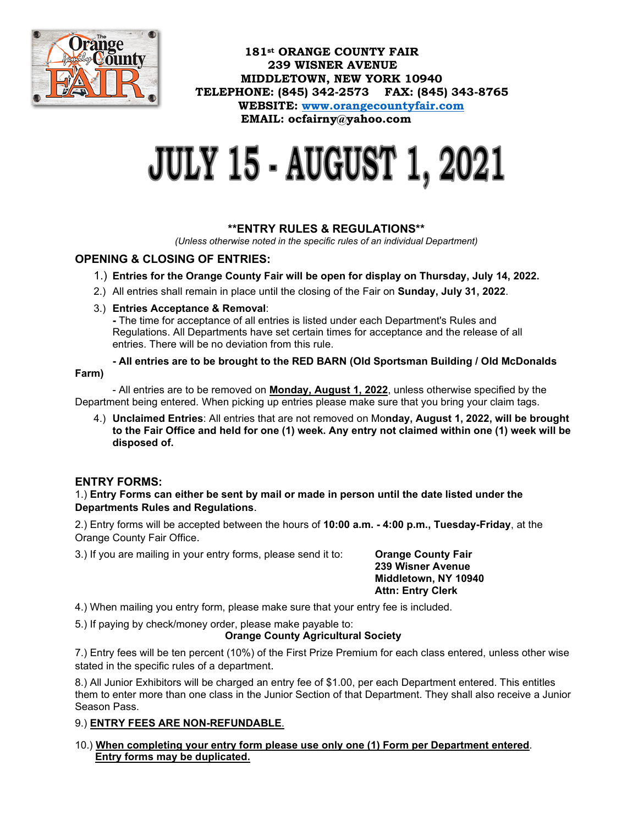

 **181st ORANGE COUNTY FAIR 239 WISNER AVENUE MIDDLETOWN, NEW YORK 10940 TELEPHONE: (845) 342-2573 FAX: (845) 343-8765 WEBSITE: [www.orangecountyfair.com](http://www.orangecountyfair.com/) EMAIL: ocfairny@yahoo.com**

# **JULY 15 - AUGUST 1, 2021**

#### **\*\*ENTRY RULES & REGULATIONS\*\***

*(Unless otherwise noted in the specific rules of an individual Department)*

### **OPENING & CLOSING OF ENTRIES:**

- 1.) **Entries for the Orange County Fair will be open for display on Thursday, July 14, 2022.**
- 2.) All entries shall remain in place until the closing of the Fair on **Sunday, July 31, 2022**.

#### 3.) **Entries Acceptance & Removal**:

 **-** The time for acceptance of all entries is listed under each Department's Rules and Regulations. All Departments have set certain times for acceptance and the release of all entries. There will be no deviation from this rule.

**- All entries are to be brought to the RED BARN (Old Sportsman Building / Old McDonalds Farm)** 

- All entries are to be removed on **Monday, August 1, 2022**, unless otherwise specified by the Department being entered. When picking up entries please make sure that you bring your claim tags.

4.) **Unclaimed Entries**: All entries that are not removed on Mo**nday, August 1, 2022, will be brought to the Fair Office and held for one (1) week. Any entry not claimed within one (1) week will be disposed of.**

#### **ENTRY FORMS:**

1.) **Entry Forms can either be sent by mail or made in person until the date listed under the Departments Rules and Regulations**.

2.) Entry forms will be accepted between the hours of **10:00 a.m. - 4:00 p.m., Tuesday-Friday**, at the Orange County Fair Office.

3.) If you are mailing in your entry forms, please send it to: **Orange County Fair**

 **239 Wisner Avenue Middletown, NY 10940 Attn: Entry Clerk**

4.) When mailing you entry form, please make sure that your entry fee is included.

5.) If paying by check/money order, please make payable to:

#### **Orange County Agricultural Society**

7.) Entry fees will be ten percent (10%) of the First Prize Premium for each class entered, unless other wise stated in the specific rules of a department.

8.) All Junior Exhibitors will be charged an entry fee of \$1.00, per each Department entered. This entitles them to enter more than one class in the Junior Section of that Department. They shall also receive a Junior Season Pass.

9.) **ENTRY FEES ARE NON-REFUNDABLE**.

10.) **When completing your entry form please use only one (1) Form per Department entered**. **Entry forms may be duplicated.**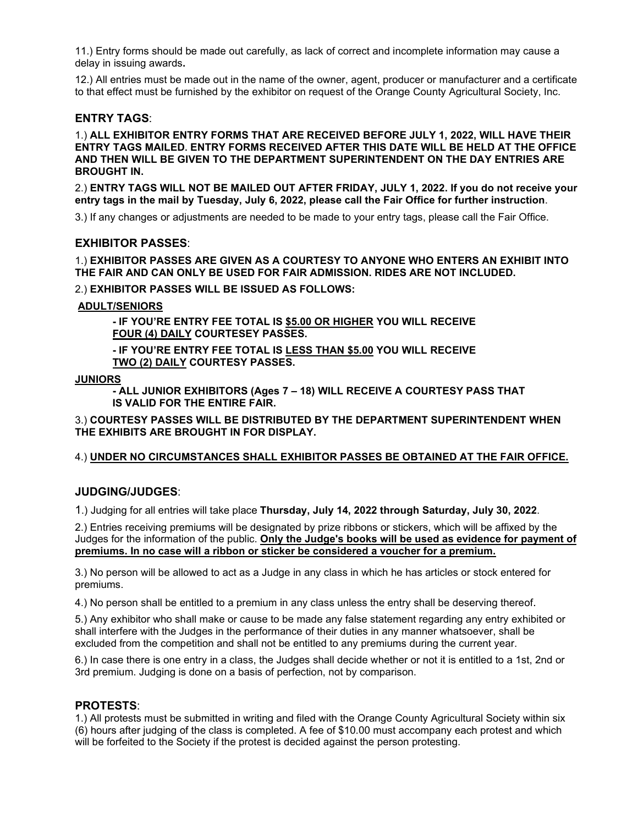11.) Entry forms should be made out carefully, as lack of correct and incomplete information may cause a delay in issuing awards**.** 

12.) All entries must be made out in the name of the owner, agent, producer or manufacturer and a certificate to that effect must be furnished by the exhibitor on request of the Orange County Agricultural Society, Inc.

#### **ENTRY TAGS**:

1.) **ALL EXHIBITOR ENTRY FORMS THAT ARE RECEIVED BEFORE JULY 1, 2022, WILL HAVE THEIR ENTRY TAGS MAILED. ENTRY FORMS RECEIVED AFTER THIS DATE WILL BE HELD AT THE OFFICE AND THEN WILL BE GIVEN TO THE DEPARTMENT SUPERINTENDENT ON THE DAY ENTRIES ARE BROUGHT IN.**

2.) **ENTRY TAGS WILL NOT BE MAILED OUT AFTER FRIDAY, JULY 1, 2022. If you do not receive your entry tags in the mail by Tuesday, July 6, 2022, please call the Fair Office for further instruction**.

3.) If any changes or adjustments are needed to be made to your entry tags, please call the Fair Office.

#### **EXHIBITOR PASSES**:

1.) **EXHIBITOR PASSES ARE GIVEN AS A COURTESY TO ANYONE WHO ENTERS AN EXHIBIT INTO THE FAIR AND CAN ONLY BE USED FOR FAIR ADMISSION. RIDES ARE NOT INCLUDED.**

2.) **EXHIBITOR PASSES WILL BE ISSUED AS FOLLOWS:** 

#### **ADULT/SENIORS**

**- IF YOU'RE ENTRY FEE TOTAL IS \$5.00 OR HIGHER YOU WILL RECEIVE FOUR (4) DAILY COURTESEY PASSES.** 

 **- IF YOU'RE ENTRY FEE TOTAL IS LESS THAN \$5.00 YOU WILL RECEIVE TWO (2) DAILY COURTESY PASSES.**

#### **JUNIORS**

**- ALL JUNIOR EXHIBITORS (Ages 7 – 18) WILL RECEIVE A COURTESY PASS THAT IS VALID FOR THE ENTIRE FAIR.**

3.) **COURTESY PASSES WILL BE DISTRIBUTED BY THE DEPARTMENT SUPERINTENDENT WHEN THE EXHIBITS ARE BROUGHT IN FOR DISPLAY.**

4.) **UNDER NO CIRCUMSTANCES SHALL EXHIBITOR PASSES BE OBTAINED AT THE FAIR OFFICE.**

**JUDGING/JUDGES**:

1.) Judging for all entries will take place **Thursday, July 14, 2022 through Saturday, July 30, 2022**.

2.) Entries receiving premiums will be designated by prize ribbons or stickers, which will be affixed by the Judges for the information of the public. **Only the Judge's books will be used as evidence for payment of premiums. In no case will a ribbon or sticker be considered a voucher for a premium.**

3.) No person will be allowed to act as a Judge in any class in which he has articles or stock entered for premiums.

4.) No person shall be entitled to a premium in any class unless the entry shall be deserving thereof.

5.) Any exhibitor who shall make or cause to be made any false statement regarding any entry exhibited or shall interfere with the Judges in the performance of their duties in any manner whatsoever, shall be excluded from the competition and shall not be entitled to any premiums during the current year.

6.) In case there is one entry in a class, the Judges shall decide whether or not it is entitled to a 1st, 2nd or 3rd premium. Judging is done on a basis of perfection, not by comparison.

#### **PROTESTS**:

1.) All protests must be submitted in writing and filed with the Orange County Agricultural Society within six (6) hours after judging of the class is completed. A fee of \$10.00 must accompany each protest and which will be forfeited to the Society if the protest is decided against the person protesting.